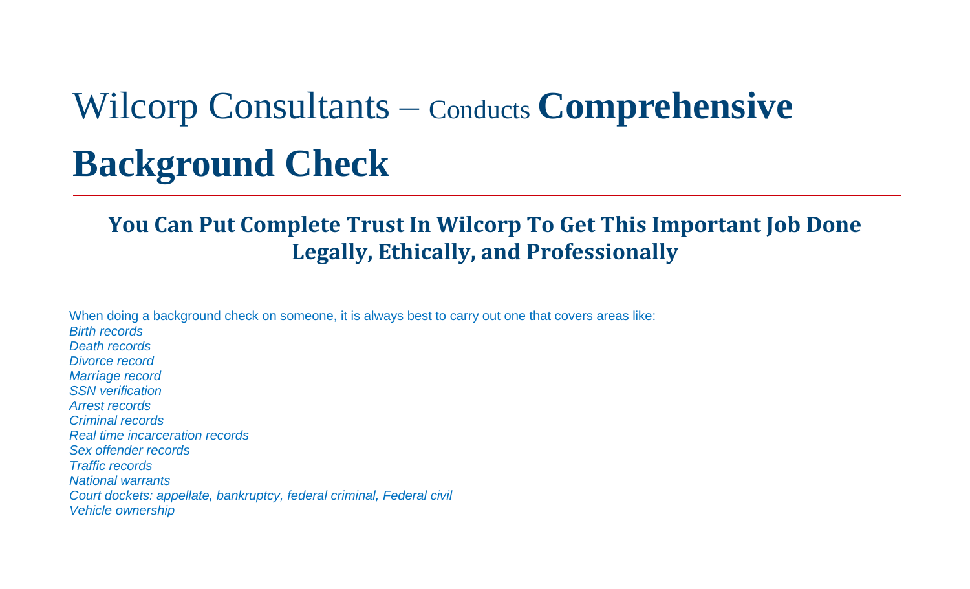# Wilcorp Consultants – Conducts **Comprehensive**

## **Background Check**

## **You Can Put Complete Trust In Wilcorp To Get This Important Job Done Legally, Ethically, and Professionally**

When doing a background check on someone, it is always best to carry out one that covers areas like: *Birth records Death records Divorce record Marriage record SSN verification Arrest records Criminal records Real time incarceration records Sex offender records Traffic records National warrants Court dockets: appellate, bankruptcy, federal criminal, Federal civil Vehicle ownership*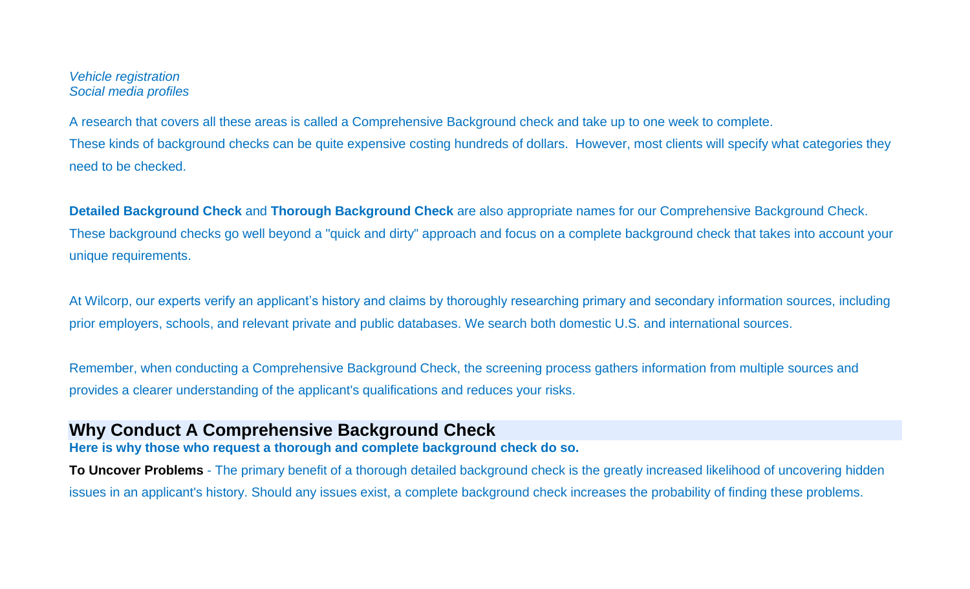#### *Vehicle registration Social media profiles*

A research that covers all these areas is called a Comprehensive Background check and take up to one week to complete. These kinds of background checks can be quite expensive costing hundreds of dollars. However, most clients will specify what categories they need to be checked.

**Detailed Background Check** and **Thorough Background Check** are also appropriate names for our Comprehensive Background Check. These background checks go well beyond a "quick and dirty" approach and focus on a complete background check that takes into account your unique requirements.

At Wilcorp, our experts verify an applicant's history and claims by thoroughly researching primary and secondary information sources, including prior employers, schools, and relevant private and public databases. We search both domestic U.S. and international sources.

Remember, when conducting a Comprehensive Background Check, the screening process gathers information from multiple sources and provides a clearer understanding of the applicant's qualifications and reduces your risks.

#### **Why Conduct A Comprehensive Background Check**

**Here is why those who request a thorough and complete background check do so.**

**To Uncover Problems** - The primary benefit of a thorough detailed background check is the greatly increased likelihood of uncovering hidden issues in an applicant's history. Should any issues exist, a complete background check increases the probability of finding these problems.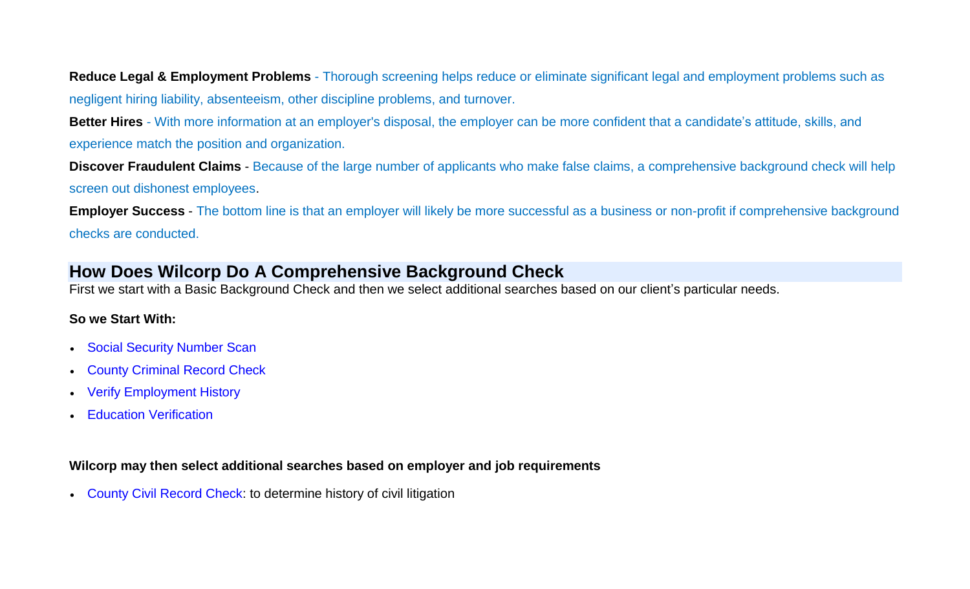**Reduce Legal & Employment Problems** - Thorough screening helps reduce or eliminate significant legal and employment problems such as negligent hiring liability, absenteeism, other discipline problems, and turnover.

**Better Hires** - With more information at an employer's disposal, the employer can be more confident that a candidate's attitude, skills, and experience match the position and organization.

**Discover Fraudulent Claims** - Because of the large number of applicants who make false claims, a comprehensive background check will help screen out dishonest employees.

**Employer Success** - The bottom line is that an employer will likely be more successful as a business or non-profit if comprehensive background checks are conducted.

#### **How Does Wilcorp Do A Comprehensive Background Check**

First we start with a Basic Background Check and then we select additional searches based on our client's particular needs.

#### **So we Start With:**

- [Social Security Number Scan](http://www.amof.info/ssnscan.htm)
- [County Criminal Record Check](http://www.amof.info/countycrim.htm)
- [Verify Employment History](http://www.amof.info/employment.htm)
- [Education Verification](http://www.amof.info/education.htm)

#### **Wilcorp may then select additional searches based on employer and job requirements**

[County Civil Record Check:](http://www.amof.info/countycivil.htm) to determine history of civil litigation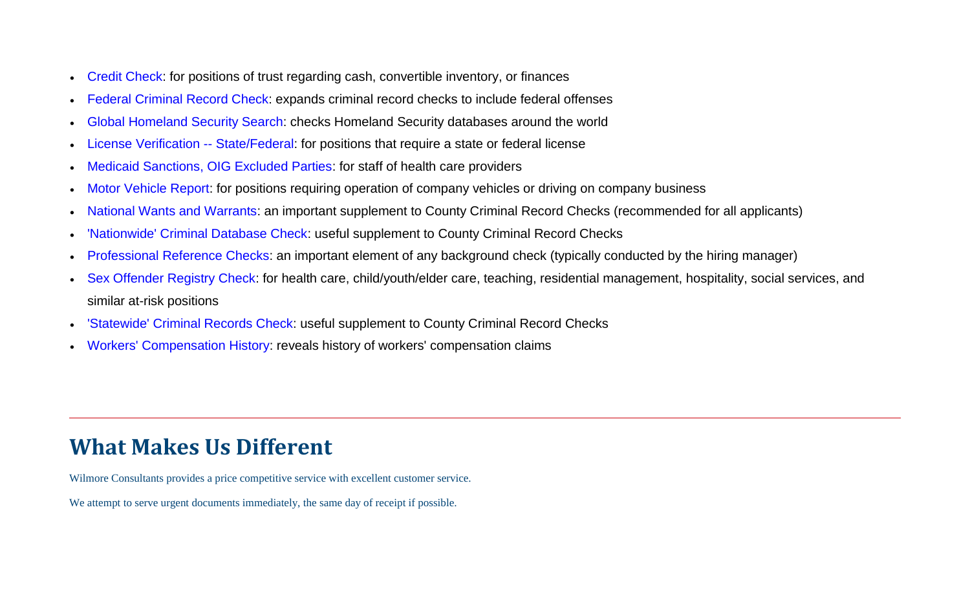- [Credit Check:](http://www.amof.info/credit.htm) for positions of trust regarding cash, convertible inventory, or finances
- [Federal Criminal Record Check:](http://www.amof.info/fed-criminal.htm) expands criminal record checks to include federal offenses
- [Global Homeland Security Search:](http://www.amof.info/homeland.htm) checks Homeland Security databases around the world
- [License Verification --](http://www.amof.info/license.htm) State/Federal: for positions that require a state or federal license
- [Medicaid Sanctions, OIG Excluded Parties:](http://www.amof.info/medicaid.htm) for staff of health care providers
- [Motor Vehicle Report:](http://www.amof.info/mvr.htm) for positions requiring operation of company vehicles or driving on company business
- [National Wants and Warrants:](http://www.amof.info/warrants.htm) an important supplement to County Criminal Record Checks (recommended for all applicants)
- ['Nationwide' Criminal Database Check:](http://www.amof.info/nationwide.htm) useful supplement to County Criminal Record Checks
- [Professional Reference](http://www.amof.info/reference.htm) Checks: an important element of any background check (typically conducted by the hiring manager)
- [Sex Offender Registry Check:](http://www.amof.info/sex-offender.htm) for health care, child/youth/elder care, teaching, residential management, hospitality, social services, and similar at-risk positions
- ['Statewide' Criminal Records Check:](http://www.amof.info/statewide.htm) useful supplement to County Criminal Record Checks
- [Workers' Compensation History:](http://www.amof.info/workers.htm) reveals history of workers' compensation claims

### **What Makes Us Different**

Wilmore Consultants provides a price competitive service with excellent customer service.

We attempt to serve urgent documents immediately, the same day of receipt if possible.